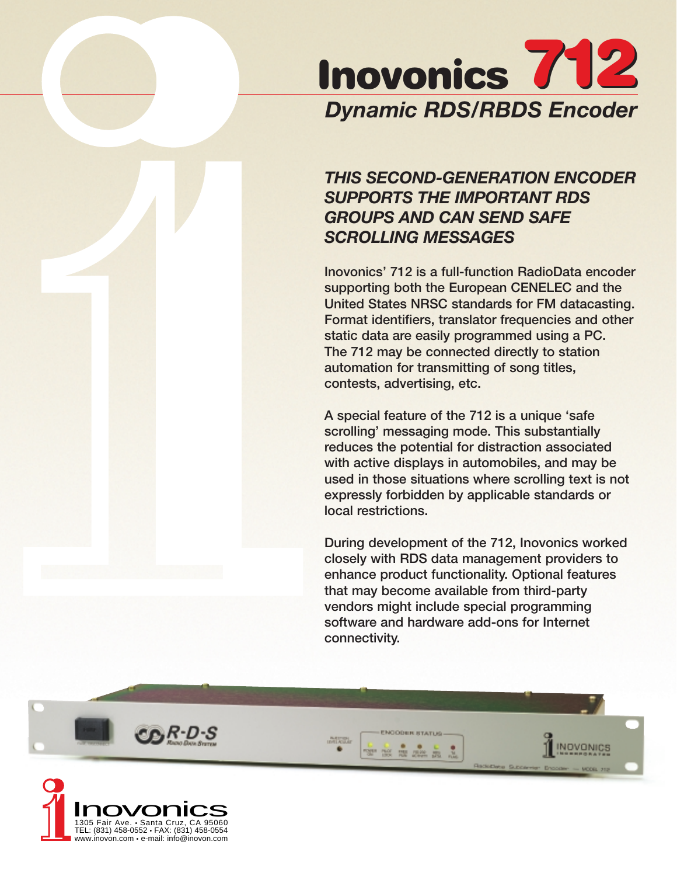

# *THIS SECOND-GENERATION ENCODER SUPPORTS THE IMPORTANT RDS GROUPS AND CAN SEND SAFE SCROLLING MESSAGES*

**Inovonics' 712 is a full-function RadioData encoder supporting both the European CENELEC and the United States NRSC standards for FM datacasting. Format identifiers, translator frequencies and other static data are easily programmed using a PC. The 712 may be connected directly to station automation for transmitting of song titles, contests, advertising, etc.**

**A special feature of the 712 is a unique 'safe scrolling' messaging mode. This substantially reduces the potential for distraction associated with active displays in automobiles, and may be used in those situations where scrolling text is not expressly forbidden by applicable standards or local restrictions.**

**During development of the 712, Inovonics worked closely with RDS data management providers to enhance product functionality. Optional features that may become available from third-party vendors might include special programming software and hardware add-ons for Internet connectivity.**

NOVONICS

**MERGE** 

۰

750 750 2000 200